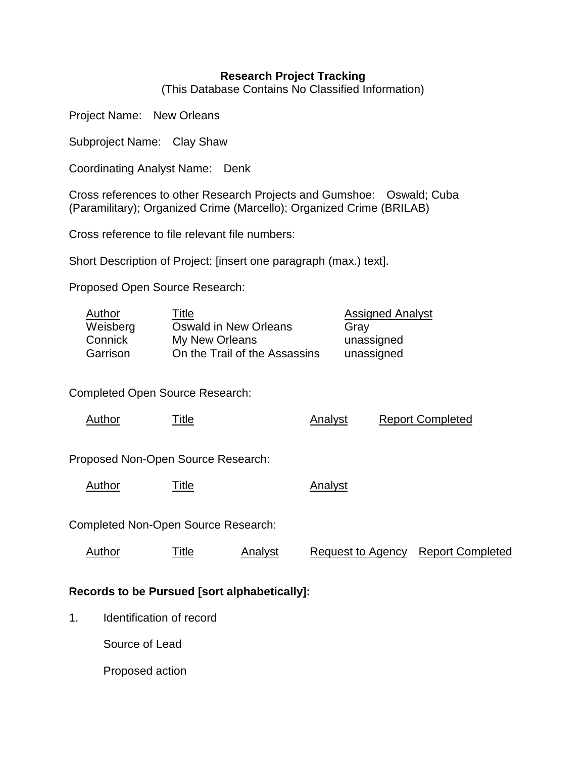## **Research Project Tracking**

(This Database Contains No Classified Information)

Project Name: New Orleans

Subproject Name: Clay Shaw

Coordinating Analyst Name: Denk

Cross references to other Research Projects and Gumshoe: Oswald; Cuba (Paramilitary); Organized Crime (Marcello); Organized Crime (BRILAB)

Cross reference to file relevant file numbers:

Short Description of Project: [insert one paragraph (max.) text].

Proposed Open Source Research:

| Author   | Title                         | <b>Assigned Analyst</b> |
|----------|-------------------------------|-------------------------|
| Weisberg | Oswald in New Orleans         | Gray                    |
| Connick  | My New Orleans                | unassigned              |
| Garrison | On the Trail of the Assassins | unassigned              |

Completed Open Source Research:

| Author                                       | Title |         | Analyst           | <b>Report Completed</b> |  |
|----------------------------------------------|-------|---------|-------------------|-------------------------|--|
| Proposed Non-Open Source Research:           |       |         |                   |                         |  |
| Author                                       | Title |         | Analyst           |                         |  |
| <b>Completed Non-Open Source Research:</b>   |       |         |                   |                         |  |
| Author                                       | Title | Analyst | Request to Agency | <b>Report Completed</b> |  |
| Records to be Pursued [sort alphabetically]: |       |         |                   |                         |  |

1. Identification of record

Source of Lead

Proposed action